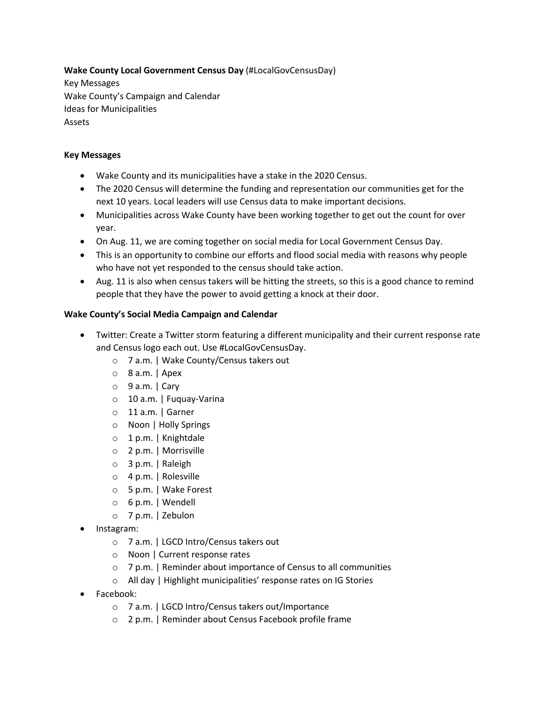**Wake County Local Government Census Day** (#LocalGovCensusDay)

Key Messages Wake County's Campaign and Calendar Ideas for Municipalities Assets

## **Key Messages**

- Wake County and its municipalities have a stake in the 2020 Census.
- The 2020 Census will determine the funding and representation our communities get for the next 10 years. Local leaders will use Census data to make important decisions.
- Municipalities across Wake County have been working together to get out the count for over year.
- On Aug. 11, we are coming together on social media for Local Government Census Day.
- This is an opportunity to combine our efforts and flood social media with reasons why people who have not yet responded to the census should take action.
- Aug. 11 is also when census takers will be hitting the streets, so this is a good chance to remind people that they have the power to avoid getting a knock at their door.

## **Wake County's Social Media Campaign and Calendar**

- Twitter: Create a Twitter storm featuring a different municipality and their current response rate and Census logo each out. Use #LocalGovCensusDay.
	- o 7 a.m. | Wake County/Census takers out
	- o 8 a.m. | Apex
	- $\circ$  9 a.m. | Cary
	- o 10 a.m. | Fuquay-Varina
	- o 11 a.m. | Garner
	- o Noon | Holly Springs
	- o 1 p.m. | Knightdale
	- o 2 p.m. | Morrisville
	- o 3 p.m. | Raleigh
	- o 4 p.m. | Rolesville
	- o 5 p.m. | Wake Forest
	- o 6 p.m. | Wendell
	- o 7 p.m. | Zebulon
- Instagram:
	- o 7 a.m. | LGCD Intro/Census takers out
	- o Noon | Current response rates
	- o 7 p.m. | Reminder about importance of Census to all communities
	- o All day | Highlight municipalities' response rates on IG Stories
- Facebook:
	- o 7 a.m. | LGCD Intro/Census takers out/Importance
	- o 2 p.m. | Reminder about Census Facebook profile frame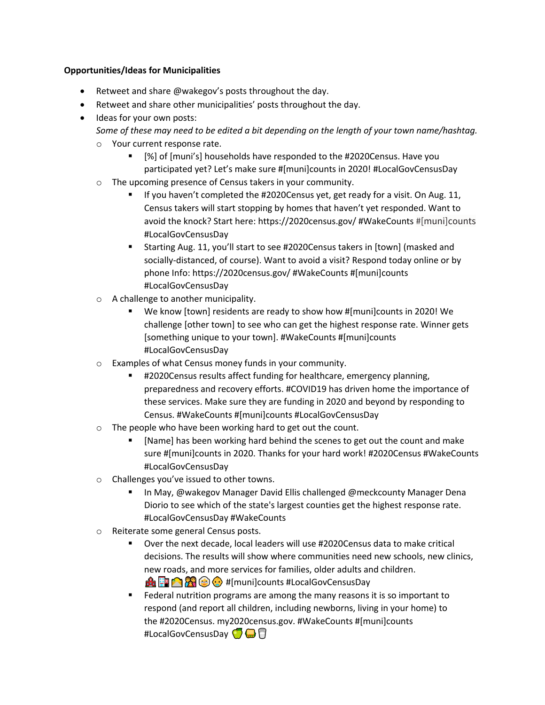### **Opportunities/Ideas for Municipalities**

- Retweet and share @wakegov's posts throughout the day.
- Retweet and share other municipalities' posts throughout the day.
- Ideas for your own posts:
	- *Some of these may need to be edited a bit depending on the length of your town name/hashtag.* o Your current response rate.
		- [%] of [muni's] households have responded to the #2020Census. Have you participated yet? Let's make sure #[muni]counts in 2020! #LocalGovCensusDay
	- o The upcoming presence of Census takers in your community.
		- If you haven't completed the #2020Census yet, get ready for a visit. On Aug. 11, Census takers will start stopping by homes that haven't yet responded. Want to avoid the knock? Start here: https://2020census.gov/ #WakeCounts #[muni]counts #LocalGovCensusDay
		- § Starting Aug. 11, you'll start to see #2020Census takers in [town] (masked and socially-distanced, of course). Want to avoid a visit? Respond today online or by phone Info: https://2020census.gov/ #WakeCounts #[muni]counts #LocalGovCensusDay
	- o A challenge to another municipality.
		- We know [town] residents are ready to show how #[muni]counts in 2020! We challenge [other town] to see who can get the highest response rate. Winner gets [something unique to your town]. #WakeCounts #[muni]counts #LocalGovCensusDay
	- o Examples of what Census money funds in your community.
		- § #2020Census results affect funding for healthcare, emergency planning, preparedness and recovery efforts. #COVID19 has driven home the importance of these services. Make sure they are funding in 2020 and beyond by responding to Census. #WakeCounts #[muni]counts #LocalGovCensusDay
	- o The people who have been working hard to get out the count.
		- [Name] has been working hard behind the scenes to get out the count and make sure #[muni]counts in 2020. Thanks for your hard work! #2020Census #WakeCounts #LocalGovCensusDay
	- o Challenges you've issued to other towns.
		- In May, @wakegov Manager David Ellis challenged @meckcounty Manager Dena Diorio to see which of the state's largest counties get the highest response rate. #LocalGovCensusDay #WakeCounts
	- o Reiterate some general Census posts.
		- § Over the next decade, local leaders will use #2020Census data to make critical decisions. The results will show where communities need new schools, new clinics, new roads, and more services for families, older adults and children. **A FRACC**: #[muni]counts #LocalGovCensusDay
		- Federal nutrition programs are among the many reasons it is so important to respond (and report all children, including newborns, living in your home) to the #2020Census. my2020census.gov. #WakeCounts #[muni]counts #LocalGovCensusDay  $\bigcirc$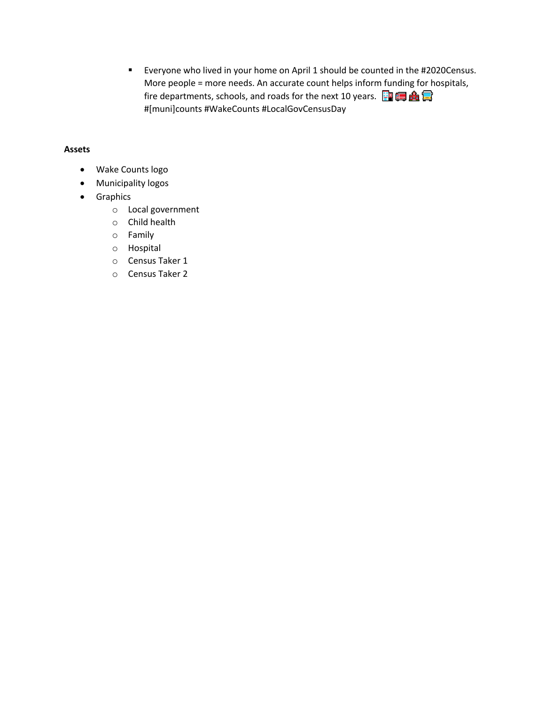$\mathbf{u}$  . Everyone who lived in your home on April 1 should be counted in the #2020Census. More people = more needs. An accurate count helps inform funding for hospitals, fire departments, schools, and roads for the next 10 years.  $\frac{1}{2}$   $\frac{1}{2}$ #[muni]counts #WakeCounts #LocalGovCensusDay

#### **Assets**

- Wake Counts logo
- Municipality logos
- Graphics
	- o Local government
	- $\circ$  Child health
	- $\circ$  Family
	- o Hospital
	- O Census Taker 1
	- O Census Taker 2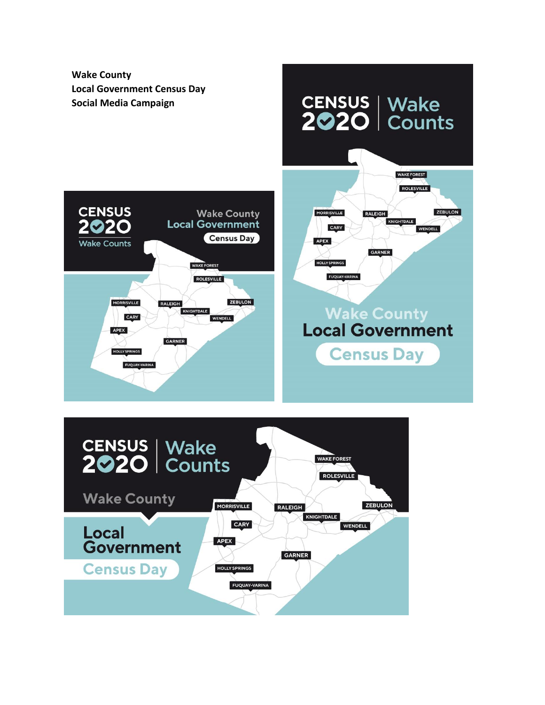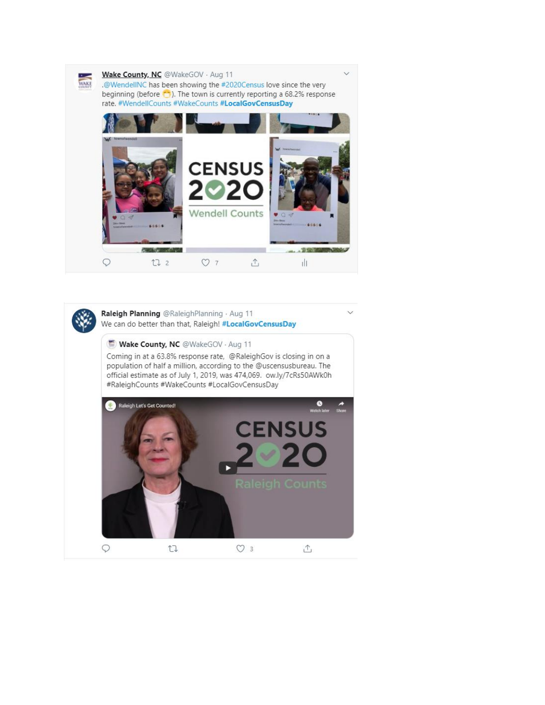

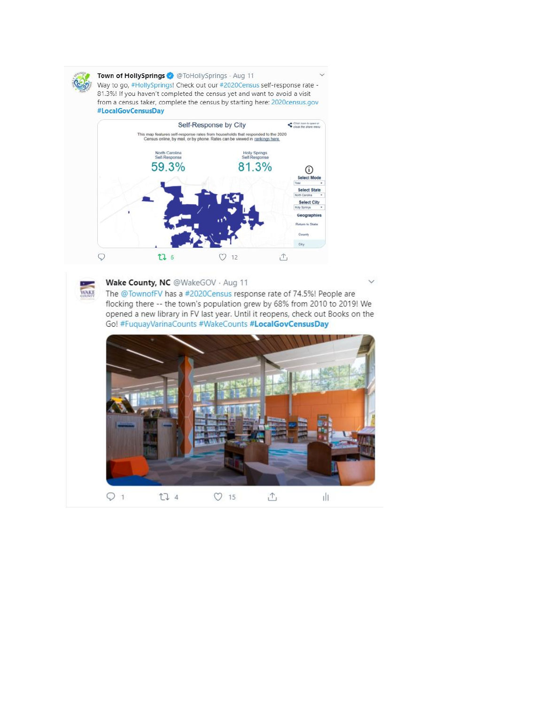

Town of HollySprings @ @ToHollySprings · Aug 11 Way to go, #HollySprings! Check out our #2020Census self-response rate -81.3%! If you haven't completed the census yet and want to avoid a visit from a census taker, complete the census by starting here: 2020census.gov #LocalGovCensusDay





Wake County, NC @WakeGOV · Aug 11

The @TownofFV has a #2020Census response rate of 74.5%! People are flocking there -- the town's population grew by 68% from 2010 to 2019! We opened a new library in FV last year. Until it reopens, check out Books on the Go! #FuquayVarinaCounts #WakeCounts #LocalGovCensusDay

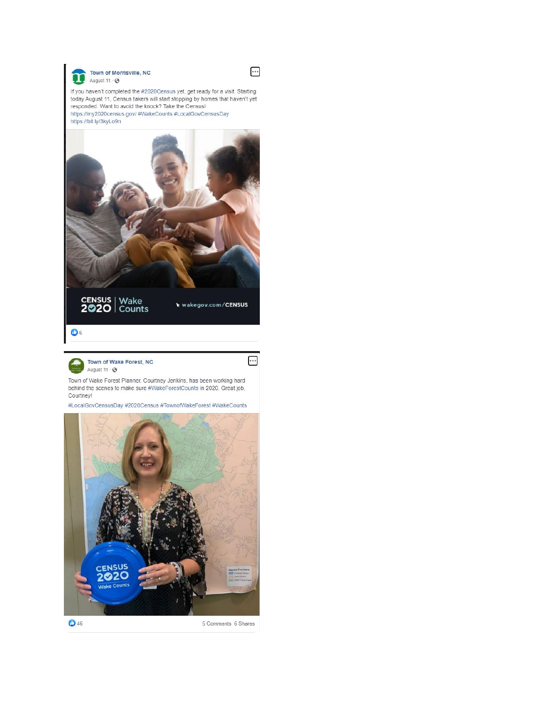



If you haven't completed the #2020Census yet, get ready for a visit. Starting today August 11, Census takers will start stopping by homes that haven't yet responded. Want to avoid the knock? Take the Census! https://my2020census.gov/ #WakeCounts #LocalGovCensusDay https://bit.ly/3kyLo9n



wakegov.com/CENSUS

 $\ddotsc$ 

# $\bullet$

Town of Wake Forest, NC  $\rightarrow$ August 11 · 3

Town of Wake Forest Planner, Courtney Jenkins, has been working hard behind the scenes to make sure #WakeForestCounts in 2020. Great job, Courtney!

#LocalGovCensusDay #2020Census #TownofWakeForest #WakeCounts



5 Comments 6 Shares